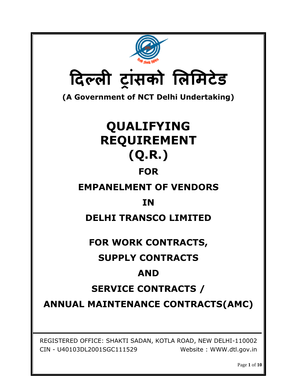| दिल्ली ट्रांसको लिमिटेड                                                                                                 |  |  |  |
|-------------------------------------------------------------------------------------------------------------------------|--|--|--|
| (A Government of NCT Delhi Undertaking)                                                                                 |  |  |  |
| QUALIFYING                                                                                                              |  |  |  |
| <b>REQUIREMENT</b>                                                                                                      |  |  |  |
| (Q.R.)                                                                                                                  |  |  |  |
| <b>FOR</b>                                                                                                              |  |  |  |
| <b>EMPANELMENT OF VENDORS</b>                                                                                           |  |  |  |
| <b>IN</b>                                                                                                               |  |  |  |
| <b>DELHI TRANSCO LIMITED</b>                                                                                            |  |  |  |
| FOR WORK CONTRACTS,                                                                                                     |  |  |  |
| <b>SUPPLY CONTRACTS</b>                                                                                                 |  |  |  |
| <b>AND</b>                                                                                                              |  |  |  |
| <b>SERVICE CONTRACTS /</b>                                                                                              |  |  |  |
| <b>ANNUAL MAINTENANCE CONTRACTS(AMC)</b>                                                                                |  |  |  |
|                                                                                                                         |  |  |  |
| REGISTERED OFFICE: SHAKTI SADAN, KOTLA ROAD, NEW DELHI-110002<br>CIN - U40103DL2001SGC111529<br>Website: WWW.dtl.gov.in |  |  |  |

Page **1** of **10**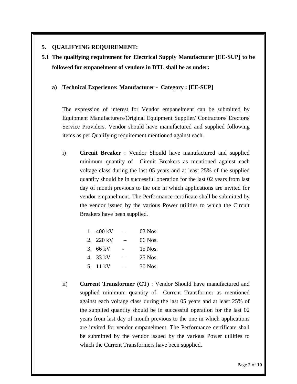## **5. QUALIFYING REQUIREMENT:**

**5.1 The qualifying requirement for Electrical Supply Manufacturer [EE-SUP] to be followed for empanelment of vendors in DTL shall be as under:**

### **a) Technical Experience: Manufacturer - Category : [EE-SUP]**

The expression of interest for Vendor empanelment can be submitted by Equipment Manufacturers/Original Equipment Supplier/ Contractors/ Erectors/ Service Providers. Vendor should have manufactured and supplied following items as per Qualifying requirement mentioned against each.

i) **Circuit Breaker** : Vendor Should have manufactured and supplied minimum quantity of Circuit Breakers as mentioned against each voltage class during the last 05 years and at least 25% of the supplied quantity should be in successful operation for the last 02 years from last day of month previous to the one in which applications are invited for vendor empanelment. The Performance certificate shall be submitted by the vendor issued by the various Power utilities to which the Circuit Breakers have been supplied.

| 1. 400 kV |                          | 03 Nos. |
|-----------|--------------------------|---------|
| 2. 220 kV | $\overline{\phantom{0}}$ | 06 Nos. |
| 3. 66 kV  |                          | 15 Nos. |
| 4.33 kV   |                          | 25 Nos. |
| 5. 11 kV  |                          | 30 Nos. |

ii) **Current Transformer (CT)** : Vendor Should have manufactured and supplied minimum quantity of Current Transformer as mentioned against each voltage class during the last 05 years and at least 25% of the supplied quantity should be in successful operation for the last 02 years from last day of month previous to the one in which applications are invited for vendor empanelment. The Performance certificate shall be submitted by the vendor issued by the various Power utilities to which the Current Transformers have been supplied.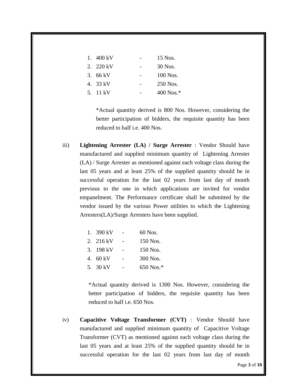| 1. $400 \text{ kV}$ | 15 Nos.      |
|---------------------|--------------|
| 2. 220 kV           | 30 Nos.      |
| 3. $66 \text{ kV}$  | 100 Nos.     |
| 4. 33 kV            | 250 Nos.     |
| 5. 11 kV            | 400 Nos. $*$ |

\*Actual quantity derived is 800 Nos. However, considering the better participation of bidders, the requisite quantity has been reduced to half i.e. 400 Nos.

iii) **Lightening Arrester (LA) / Surge Arrester** : Vendor Should have manufactured and supplied minimum quantity of Lightening Arrester (LA) / Surge Arrester as mentioned against each voltage class during the last 05 years and at least 25% of the supplied quantity should be in successful operation for the last 02 years from last day of month previous to the one in which applications are invited for vendor empanelment. The Performance certificate shall be submitted by the vendor issued by the various Power utilities to which the Lightening Arresters(LA)/Surge Arresters have been supplied.

| 1. 390 kV | 60 Nos.     |
|-----------|-------------|
| 2. 216 kV | 150 Nos.    |
| 3. 198 kV | 150 Nos.    |
| 4.60 kV   | 300 Nos.    |
| 5. 30 kV  | $650$ Nos.* |

\*Actual quantity derived is 1300 Nos. However, considering the better participation of bidders, the requisite quantity has been reduced to half i.e. 650 Nos.

iv) **Capacitive Voltage Transformer (CVT)** : Vendor Should have manufactured and supplied minimum quantity of Capacitive Voltage Transformer (CVT) as mentioned against each voltage class during the last 05 years and at least 25% of the supplied quantity should be in successful operation for the last 02 years from last day of month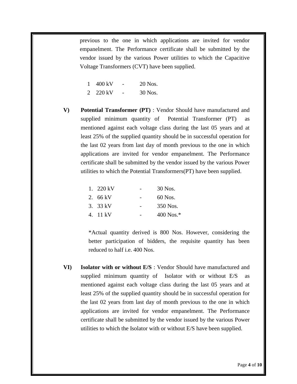previous to the one in which applications are invited for vendor empanelment. The Performance certificate shall be submitted by the vendor issued by the various Power utilities to which the Capacitive Voltage Transformers (CVT) have been supplied.

| $\mathbf{1}$ | – 400 kV | - | 20 Nos. |
|--------------|----------|---|---------|
|              | 2 220 kV |   | 30 Nos. |

**V) Potential Transformer (PT)** : Vendor Should have manufactured and supplied minimum quantity of Potential Transformer (PT)as mentioned against each voltage class during the last 05 years and at least 25% of the supplied quantity should be in successful operation for the last 02 years from last day of month previous to the one in which applications are invited for vendor empanelment. The Performance certificate shall be submitted by the vendor issued by the various Power utilities to which the Potential Transformers(PT) have been supplied.

| 1. 220 kV          | 30 Nos.     |
|--------------------|-------------|
| 2. $66 \text{ kV}$ | 60 Nos.     |
| 3. 33 kV           | 350 Nos.    |
| 4. 11 kV           | $400$ Nos.* |

\*Actual quantity derived is 800 Nos. However, considering the better participation of bidders, the requisite quantity has been reduced to half i.e. 400 Nos.

**VI) Isolator with or without E/S** : Vendor Should have manufactured and supplied minimum quantity of Isolator with or without E/Sas mentioned against each voltage class during the last 05 years and at least 25% of the supplied quantity should be in successful operation for the last 02 years from last day of month previous to the one in which applications are invited for vendor empanelment. The Performance certificate shall be submitted by the vendor issued by the various Power utilities to which the Isolator with or without E/S have been supplied.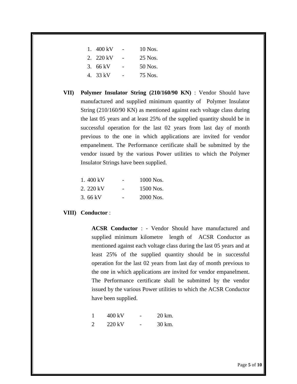| 1. $400 \text{ kV}$ | 10 Nos. |
|---------------------|---------|
| 2. 220 kV           | 25 Nos. |
| 3.66 kV             | 50 Nos. |
| 4. 33 kV            | 75 Nos. |

**VII) Polymer Insulator String (210/160/90 KN)** : Vendor Should have manufactured and supplied minimum quantity of Polymer Insulator String (210/160/90 KN) as mentioned against each voltage class during the last 05 years and at least 25% of the supplied quantity should be in successful operation for the last 02 years from last day of month previous to the one in which applications are invited for vendor empanelment. The Performance certificate shall be submitted by the vendor issued by the various Power utilities to which the Polymer Insulator Strings have been supplied.

| 1.400 kV  | $\overline{\phantom{0}}$ | 1000 Nos. |
|-----------|--------------------------|-----------|
| 2. 220 kV |                          | 1500 Nos. |
| 3.66 kV   |                          | 2000 Nos. |

#### **VIII) Conductor** :

**ACSR Conductor** : - Vendor Should have manufactured and supplied minimum kilometre length of ACSR Conductor as mentioned against each voltage class during the last 05 years and at least 25% of the supplied quantity should be in successful operation for the last 02 years from last day of month previous to the one in which applications are invited for vendor empanelment. The Performance certificate shall be submitted by the vendor issued by the various Power utilities to which the ACSR Conductor have been supplied.

|   | 400 kV           | 20 km. |
|---|------------------|--------|
| 2 | $220 \text{ kV}$ | 30 km. |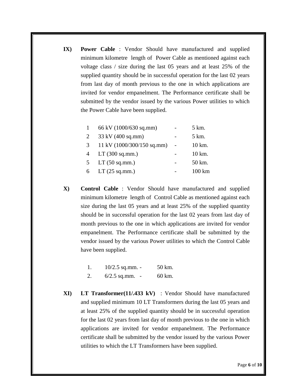**IX) Power Cable** : Vendor Should have manufactured and supplied minimum kilometre length of Power Cable as mentioned against each voltage class / size during the last 05 years and at least 25% of the supplied quantity should be in successful operation for the last 02 years from last day of month previous to the one in which applications are invited for vendor empanelment. The Performance certificate shall be submitted by the vendor issued by the various Power utilities to which the Power Cable have been supplied.

|                | 66 kV (1000/630 sq.mm)     | 5 km.             |
|----------------|----------------------------|-------------------|
| 2              | 33 kV (400 sq.mm)          | 5 km.             |
| $\mathcal{R}$  | 11 kV (1000/300/150 sq.mm) | 10 km.            |
| $\overline{A}$ | LT(300 sq.mm.)             | 10 km.            |
| .5             | LT(50 sq.mm.)              | 50 km.            |
| 6              | LT(25 sq.mm.)              | $100 \mathrm{km}$ |

- **X) Control Cable** : Vendor Should have manufactured and supplied minimum kilometre length of Control Cable as mentioned against each size during the last 05 years and at least 25% of the supplied quantity should be in successful operation for the last 02 years from last day of month previous to the one in which applications are invited for vendor empanelment. The Performance certificate shall be submitted by the vendor issued by the various Power utilities to which the Control Cable have been supplied.
	- 1. 10/2.5 sq.mm. 50 km.
	- 2. 6/2.5 sq.mm. 60 km.
- **XI) LT Transformer(11/.433 kV)** : Vendor Should have manufactured and supplied minimum 10 LT Transformers during the last 05 years and at least 25% of the supplied quantity should be in successful operation for the last 02 years from last day of month previous to the one in which applications are invited for vendor empanelment. The Performance certificate shall be submitted by the vendor issued by the various Power utilities to which the LT Transformers have been supplied.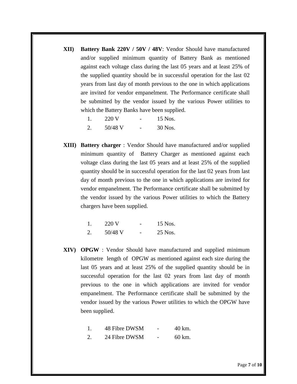**XII) Battery Bank 220V / 50V / 48V**: Vendor Should have manufactured and/or supplied minimum quantity of Battery Bank as mentioned against each voltage class during the last 05 years and at least 25% of the supplied quantity should be in successful operation for the last 02 years from last day of month previous to the one in which applications are invited for vendor empanelment. The Performance certificate shall be submitted by the vendor issued by the various Power utilities to which the Battery Banks have been supplied.

|    | 220 V   | 15 Nos. |
|----|---------|---------|
| 2. | 50/48 V | 30 Nos. |

**XIII) Battery charger** : Vendor Should have manufactured and/or supplied minimum quantity of Battery Charger as mentioned against each voltage class during the last 05 years and at least 25% of the supplied quantity should be in successful operation for the last 02 years from last day of month previous to the one in which applications are invited for vendor empanelment. The Performance certificate shall be submitted by the vendor issued by the various Power utilities to which the Battery chargers have been supplied.

| 220 V   | - | 15 Nos. |
|---------|---|---------|
| 50/48 V | - | 25 Nos. |

**XIV) OPGW** : Vendor Should have manufactured and supplied minimum kilometre length of OPGW as mentioned against each size during the last 05 years and at least 25% of the supplied quantity should be in successful operation for the last 02 years from last day of month previous to the one in which applications are invited for vendor empanelment. The Performance certificate shall be submitted by the vendor issued by the various Power utilities to which the OPGW have been supplied.

| 48 Fibre DWSM | 40 km. |
|---------------|--------|
|               |        |

 $2.$  24 Fibre DWSM  $-$  60 km.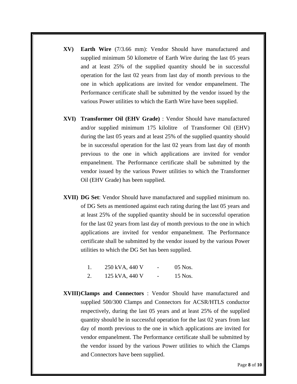- **XV) Earth Wire** (7/3.66 mm): Vendor Should have manufactured and supplied minimum 50 kilometre of Earth Wire during the last 05 years and at least 25% of the supplied quantity should be in successful operation for the last 02 years from last day of month previous to the one in which applications are invited for vendor empanelment. The Performance certificate shall be submitted by the vendor issued by the various Power utilities to which the Earth Wire have been supplied.
- **XVI) Transformer Oil (EHV Grade)** : Vendor Should have manufactured and/or supplied minimum 175 kilolitre of Transformer Oil (EHV) during the last 05 years and at least 25% of the supplied quantity should be in successful operation for the last 02 years from last day of month previous to the one in which applications are invited for vendor empanelment. The Performance certificate shall be submitted by the vendor issued by the various Power utilities to which the Transformer Oil (EHV Grade) has been supplied.
- **XVII) DG Set**: Vendor Should have manufactured and supplied minimum no. of DG Sets as mentioned against each rating during the last 05 years and at least 25% of the supplied quantity should be in successful operation for the last 02 years from last day of month previous to the one in which applications are invited for vendor empanelment. The Performance certificate shall be submitted by the vendor issued by the various Power utilities to which the DG Set has been supplied.

|    | 250 kVA, 440 V | $\overline{\phantom{0}}$ | $05$ Nos. |
|----|----------------|--------------------------|-----------|
| 2. | 125 kVA, 440 V | $\overline{\phantom{0}}$ | 15 Nos.   |

**XVIII)Clamps and Connectors** : Vendor Should have manufactured and supplied 500/300 Clamps and Connectors for ACSR/HTLS conductor respectively, during the last 05 years and at least 25% of the supplied quantity should be in successful operation for the last 02 years from last day of month previous to the one in which applications are invited for vendor empanelment. The Performance certificate shall be submitted by the vendor issued by the various Power utilities to which the Clamps and Connectors have been supplied.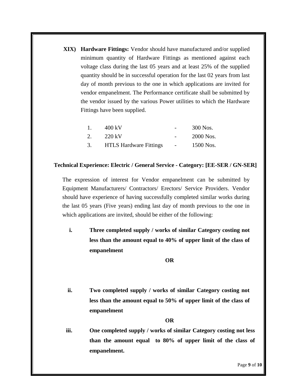**XIX) Hardware Fittings:** Vendor should have manufactured and/or supplied minimum quantity of Hardware Fittings as mentioned against each voltage class during the last 05 years and at least 25% of the supplied quantity should be in successful operation for the last 02 years from last day of month previous to the one in which applications are invited for vendor empanelment. The Performance certificate shall be submitted by the vendor issued by the various Power utilities to which the Hardware Fittings have been supplied.

| $\mathbf{1}_{\mathbf{1}}$ | 400 kV                        | 300 Nos.  |
|---------------------------|-------------------------------|-----------|
| 2.                        | 220 kV                        | 2000 Nos. |
| 3.                        | <b>HTLS Hardware Fittings</b> | 1500 Nos. |

### **Technical Experience: Electric / General Service - Category: [EE-SER / GN-SER]**

The expression of interest for Vendor empanelment can be submitted by Equipment Manufacturers/ Contractors/ Erectors/ Service Providers. Vendor should have experience of having successfully completed similar works during the last 05 years (Five years) ending last day of month previous to the one in which applications are invited, should be either of the following:

**i. Three completed supply / works of similar Category costing not less than the amount equal to 40% of upper limit of the class of empanelment**

**OR**

**ii. Two completed supply / works of similar Category costing not less than the amount equal to 50% of upper limit of the class of empanelment** 

#### **OR**

**iii. One completed supply / works of similar Category costing not less than the amount equal to 80% of upper limit of the class of empanelment.**